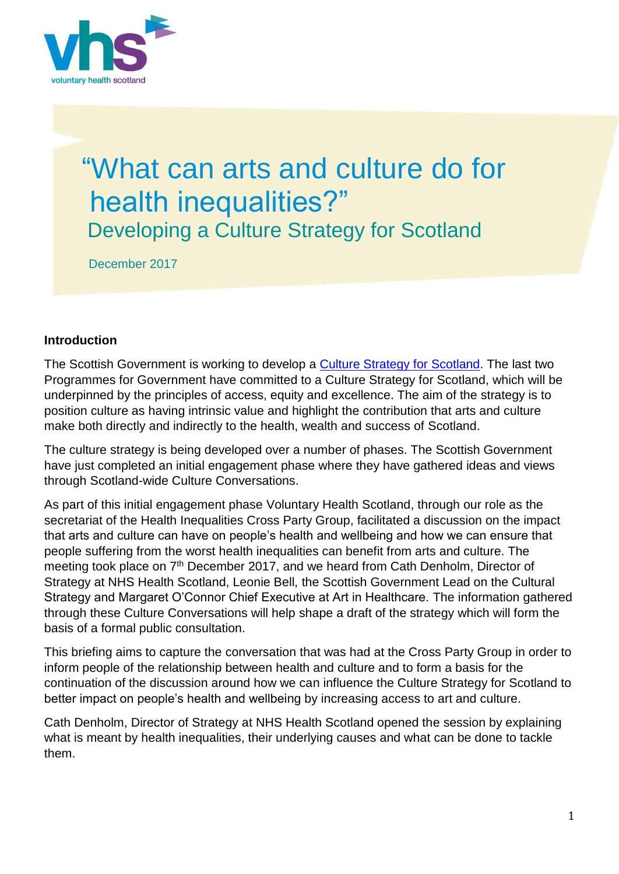

# "What can arts and culture do for health inequalities?" Developing a Culture Strategy for Scotland

December 2017

### **Introduction**

The Scottish Government is working to develop a [Culture Strategy for Scotland.](https://beta.gov.scot/policies/arts-culture-heritage/culture-strategy-for-scotland/) The last two Programmes for Government have committed to a Culture Strategy for Scotland, which will be underpinned by the principles of access, equity and excellence. The aim of the strategy is to position culture as having intrinsic value and highlight the contribution that arts and culture make both directly and indirectly to the health, wealth and success of Scotland.

The culture strategy is being developed over a number of phases. The Scottish Government have just completed an initial engagement phase where they have gathered ideas and views through Scotland-wide Culture Conversations.

As part of this initial engagement phase Voluntary Health Scotland, through our role as the secretariat of the Health Inequalities Cross Party Group, facilitated a discussion on the impact that arts and culture can have on people's health and wellbeing and how we can ensure that people suffering from the worst health inequalities can benefit from arts and culture. The meeting took place on 7<sup>th</sup> December 2017, and we heard from Cath Denholm, Director of Strategy at NHS Health Scotland, Leonie Bell, the Scottish Government Lead on the Cultural Strategy and Margaret O'Connor Chief Executive at Art in Healthcare. The information gathered through these Culture Conversations will help shape a draft of the strategy which will form the basis of a formal public consultation.

This briefing aims to capture the conversation that was had at the Cross Party Group in order to inform people of the relationship between health and culture and to form a basis for the continuation of the discussion around how we can influence the Culture Strategy for Scotland to better impact on people's health and wellbeing by increasing access to art and culture.

Cath Denholm, Director of Strategy at NHS Health Scotland opened the session by explaining what is meant by health inequalities, their underlying causes and what can be done to tackle them.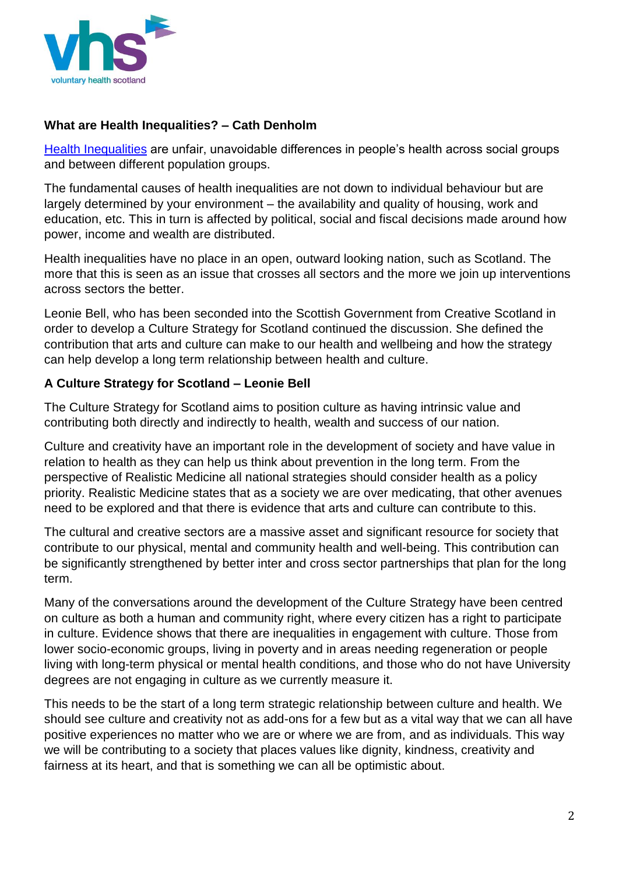

## **What are Health Inequalities? – Cath Denholm**

[Health Inequalities](http://www.healthscotland.scot/publications/health-inequalities-what-are-they-and-how-do-we-reduce-them) are unfair, unavoidable differences in people's health across social groups and between different population groups.

The fundamental causes of health inequalities are not down to individual behaviour but are largely determined by your environment – the availability and quality of housing, work and education, etc. This in turn is affected by political, social and fiscal decisions made around how power, income and wealth are distributed.

Health inequalities have no place in an open, outward looking nation, such as Scotland. The more that this is seen as an issue that crosses all sectors and the more we join up interventions across sectors the better.

Leonie Bell, who has been seconded into the Scottish Government from Creative Scotland in order to develop a Culture Strategy for Scotland continued the discussion. She defined the contribution that arts and culture can make to our health and wellbeing and how the strategy can help develop a long term relationship between health and culture.

## **A Culture Strategy for Scotland – Leonie Bell**

The Culture Strategy for Scotland aims to position culture as having intrinsic value and contributing both directly and indirectly to health, wealth and success of our nation.

Culture and creativity have an important role in the development of society and have value in relation to health as they can help us think about prevention in the long term. From the perspective of Realistic Medicine all national strategies should consider health as a policy priority. Realistic Medicine states that as a society we are over medicating, that other avenues need to be explored and that there is evidence that arts and culture can contribute to this.

The cultural and creative sectors are a massive asset and significant resource for society that contribute to our physical, mental and community health and well-being. This contribution can be significantly strengthened by better inter and cross sector partnerships that plan for the long term.

Many of the conversations around the development of the Culture Strategy have been centred on culture as both a human and community right, where every citizen has a right to participate in culture. Evidence shows that there are inequalities in engagement with culture. Those from lower socio-economic groups, living in poverty and in areas needing regeneration or people living with long-term physical or mental health conditions, and those who do not have University degrees are not engaging in culture as we currently measure it.

This needs to be the start of a long term strategic relationship between culture and health. We should see culture and creativity not as add-ons for a few but as a vital way that we can all have positive experiences no matter who we are or where we are from, and as individuals. This way we will be contributing to a society that places values like dignity, kindness, creativity and fairness at its heart, and that is something we can all be optimistic about.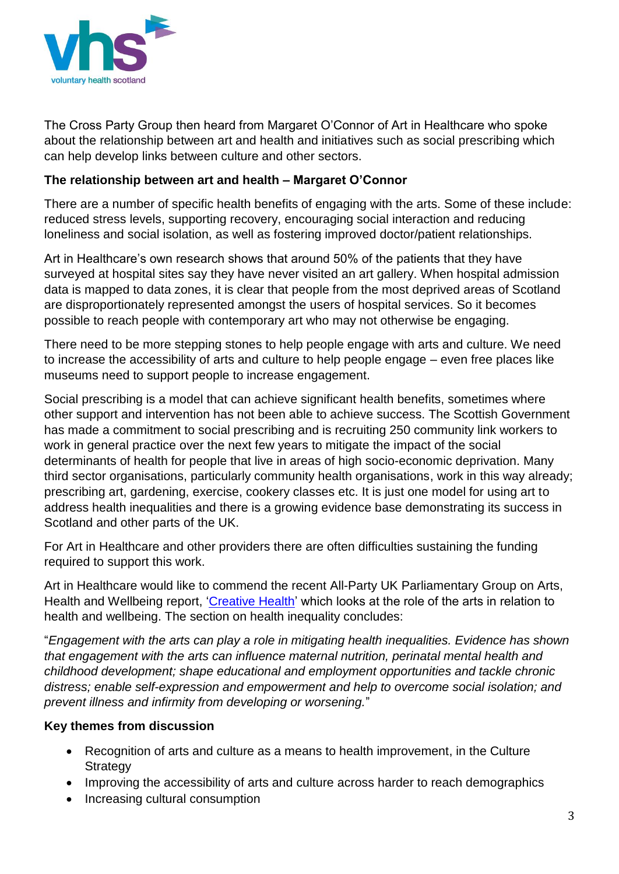

The Cross Party Group then heard from Margaret O'Connor of Art in Healthcare who spoke about the relationship between art and health and initiatives such as social prescribing which can help develop links between culture and other sectors.

## **The relationship between art and health – Margaret O'Connor**

There are a number of specific health benefits of engaging with the arts. Some of these include: reduced stress levels, supporting recovery, encouraging social interaction and reducing loneliness and social isolation, as well as fostering improved doctor/patient relationships.

Art in Healthcare's own research shows that around 50% of the patients that they have surveyed at hospital sites say they have never visited an art gallery. When hospital admission data is mapped to data zones, it is clear that people from the most deprived areas of Scotland are disproportionately represented amongst the users of hospital services. So it becomes possible to reach people with contemporary art who may not otherwise be engaging.

There need to be more stepping stones to help people engage with arts and culture. We need to increase the accessibility of arts and culture to help people engage – even free places like museums need to support people to increase engagement.

Social prescribing is a model that can achieve significant health benefits, sometimes where other support and intervention has not been able to achieve success. The Scottish Government has made a commitment to social prescribing and is recruiting 250 community link workers to work in general practice over the next few years to mitigate the impact of the social determinants of health for people that live in areas of high socio-economic deprivation. Many third sector organisations, particularly community health organisations, work in this way already; prescribing art, gardening, exercise, cookery classes etc. It is just one model for using art to address health inequalities and there is a growing evidence base demonstrating its success in Scotland and other parts of the UK.

For Art in Healthcare and other providers there are often difficulties sustaining the funding required to support this work.

Art in Healthcare would like to commend the recent All-Party UK Parliamentary Group on Arts, Health and Wellbeing report, ['Creative Health'](http://www.artshealthandwellbeing.org.uk/appg-inquiry/) which looks at the role of the arts in relation to health and wellbeing. The section on health inequality concludes:

"*Engagement with the arts can play a role in mitigating health inequalities. Evidence has shown that engagement with the arts can influence maternal nutrition, perinatal mental health and childhood development; shape educational and employment opportunities and tackle chronic distress; enable self-expression and empowerment and help to overcome social isolation; and prevent illness and infirmity from developing or worsening.*"

### **Key themes from discussion**

- Recognition of arts and culture as a means to health improvement, in the Culture **Strategy**
- Improving the accessibility of arts and culture across harder to reach demographics
- Increasing cultural consumption